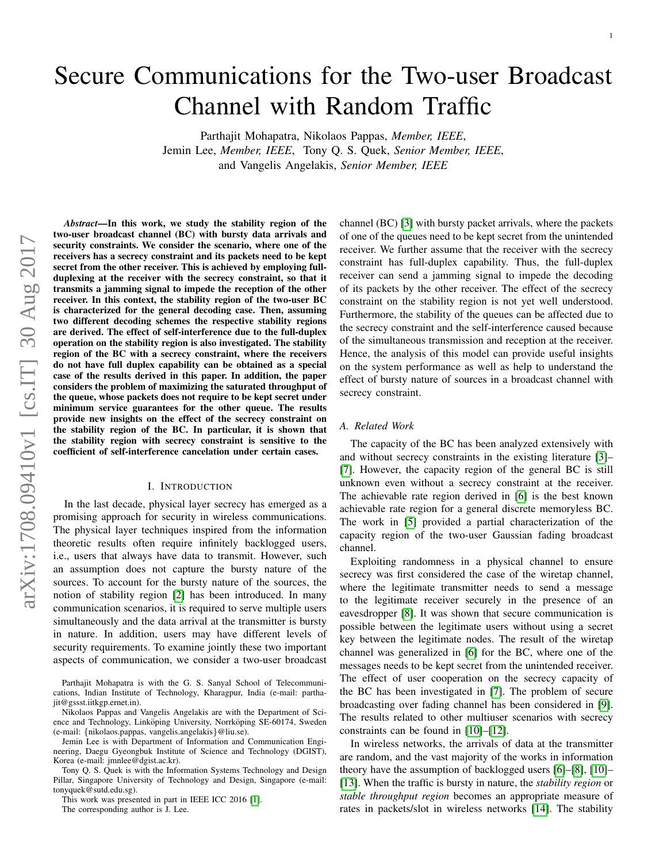# Secure Communications for the Two-user Broadcast Channel with Random Traffic

Parthajit Mohapatra, Nikolaos Pappas, *Member, IEEE*, Jemin Lee, *Member, IEEE*, Tony Q. S. Quek, *Senior Member, IEEE*,

and Vangelis Angelakis, *Senior Member, IEEE*

*Abstract*—In this work, we study the stability region of the two-user broadcast channel (BC) with bursty data arrivals and security constraints. We consider the scenario, where one of the receivers has a secrecy constraint and its packets need to be kept secret from the other receiver. This is achieved by employing fullduplexing at the receiver with the secrecy constraint, so that it transmits a jamming signal to impede the reception of the other receiver. In this context, the stability region of the two-user BC is characterized for the general decoding case. Then, assuming two different decoding schemes the respective stability regions are derived. The effect of self-interference due to the full-duplex operation on the stability region is also investigated. The stability region of the BC with a secrecy constraint, where the receivers do not have full duplex capability can be obtained as a special case of the results derived in this paper. In addition, the paper considers the problem of maximizing the saturated throughput of the queue, whose packets does not require to be kept secret under minimum service guarantees for the other queue. The results provide new insights on the effect of the secrecy constraint on the stability region of the BC. In particular, it is shown that the stability region with secrecy constraint is sensitive to the coefficient of self-interference cancelation under certain cases.

## I. INTRODUCTION

In the last decade, physical layer secrecy has emerged as a promising approach for security in wireless communications. The physical layer techniques inspired from the information theoretic results often require infinitely backlogged users, i.e., users that always have data to transmit. However, such an assumption does not capture the bursty nature of the sources. To account for the bursty nature of the sources, the notion of stability region [\[2\]](#page-12-0) has been introduced. In many communication scenarios, it is required to serve multiple users simultaneously and the data arrival at the transmitter is bursty in nature. In addition, users may have different levels of security requirements. To examine jointly these two important aspects of communication, we consider a two-user broadcast

Parthajit Mohapatra is with the G. S. Sanyal School of Telecommunications, Indian Institute of Technology, Kharagpur, India (e-mail: parthajit@gssst.iitkgp.ernet.in).

Nikolaos Pappas and Vangelis Angelakis are with the Department of Science and Technology, Linköping University, Norrköping SE-60174, Sweden (e-mail: {nikolaos.pappas, vangelis.angelakis}@liu.se).

Jemin Lee is with Department of Information and Communication Engineering, Daegu Gyeongbuk Institute of Science and Technology (DGIST), Korea (e-mail: jmnlee@dgist.ac.kr).

Tony Q. S. Quek is with the Information Systems Technology and Design Pillar, Singapore University of Technology and Design, Singapore (e-mail: tonyquek@sutd.edu.sg).

This work was presented in part in IEEE ICC 2016 [\[1\]](#page-12-1). The corresponding author is J. Lee.

channel (BC) [\[3\]](#page-12-2) with bursty packet arrivals, where the packets of one of the queues need to be kept secret from the unintended receiver. We further assume that the receiver with the secrecy constraint has full-duplex capability. Thus, the full-duplex receiver can send a jamming signal to impede the decoding of its packets by the other receiver. The effect of the secrecy constraint on the stability region is not yet well understood. Furthermore, the stability of the queues can be affected due to the secrecy constraint and the self-interference caused because of the simultaneous transmission and reception at the receiver. Hence, the analysis of this model can provide useful insights on the system performance as well as help to understand the effect of bursty nature of sources in a broadcast channel with secrecy constraint.

### *A. Related Work*

The capacity of the BC has been analyzed extensively with and without secrecy constraints in the existing literature [\[3\]](#page-12-2)– [\[7\]](#page-12-3). However, the capacity region of the general BC is still unknown even without a secrecy constraint at the receiver. The achievable rate region derived in [\[6\]](#page-12-4) is the best known achievable rate region for a general discrete memoryless BC. The work in [\[5\]](#page-12-5) provided a partial characterization of the capacity region of the two-user Gaussian fading broadcast channel.

Exploiting randomness in a physical channel to ensure secrecy was first considered the case of the wiretap channel, where the legitimate transmitter needs to send a message to the legitimate receiver securely in the presence of an eavesdropper [\[8\]](#page-12-6). It was shown that secure communication is possible between the legitimate users without using a secret key between the legitimate nodes. The result of the wiretap channel was generalized in [\[6\]](#page-12-4) for the BC, where one of the messages needs to be kept secret from the unintended receiver. The effect of user cooperation on the secrecy capacity of the BC has been investigated in [\[7\]](#page-12-3). The problem of secure broadcasting over fading channel has been considered in [\[9\]](#page-12-7). The results related to other multiuser scenarios with secrecy constraints can be found in [\[10\]](#page-12-8)–[\[12\]](#page-12-9).

In wireless networks, the arrivals of data at the transmitter are random, and the vast majority of the works in information theory have the assumption of backlogged users [\[6\]](#page-12-4)–[\[8\]](#page-12-6), [\[10\]](#page-12-8)– [\[13\]](#page-12-10). When the traffic is bursty in nature, the *stability region* or *stable throughput region* becomes an appropriate measure of rates in packets/slot in wireless networks [\[14\]](#page-12-11). The stability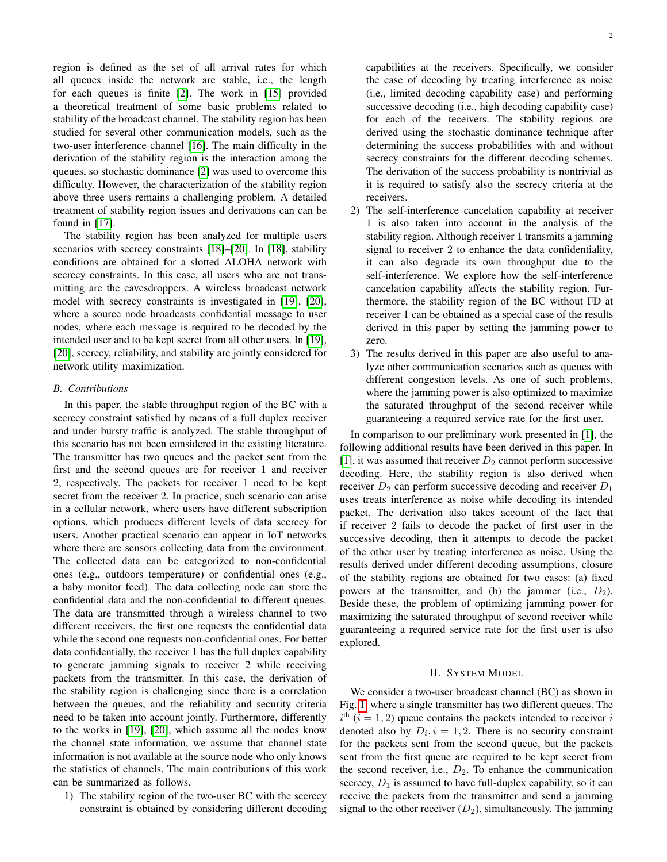region is defined as the set of all arrival rates for which all queues inside the network are stable, i.e., the length for each queues is finite [\[2\]](#page-12-0). The work in [\[15\]](#page-12-12) provided a theoretical treatment of some basic problems related to stability of the broadcast channel. The stability region has been studied for several other communication models, such as the two-user interference channel [\[16\]](#page-12-13). The main difficulty in the derivation of the stability region is the interaction among the queues, so stochastic dominance [\[2\]](#page-12-0) was used to overcome this difficulty. However, the characterization of the stability region above three users remains a challenging problem. A detailed treatment of stability region issues and derivations can can be found in [\[17\]](#page-12-14).

The stability region has been analyzed for multiple users scenarios with secrecy constraints [\[18\]](#page-12-15)–[\[20\]](#page-12-16). In [\[18\]](#page-12-15), stability conditions are obtained for a slotted ALOHA network with secrecy constraints. In this case, all users who are not transmitting are the eavesdroppers. A wireless broadcast network model with secrecy constraints is investigated in [\[19\]](#page-12-17), [\[20\]](#page-12-16), where a source node broadcasts confidential message to user nodes, where each message is required to be decoded by the intended user and to be kept secret from all other users. In [\[19\]](#page-12-17), [\[20\]](#page-12-16), secrecy, reliability, and stability are jointly considered for network utility maximization.

#### *B. Contributions*

In this paper, the stable throughput region of the BC with a secrecy constraint satisfied by means of a full duplex receiver and under bursty traffic is analyzed. The stable throughput of this scenario has not been considered in the existing literature. The transmitter has two queues and the packet sent from the first and the second queues are for receiver 1 and receiver 2, respectively. The packets for receiver 1 need to be kept secret from the receiver 2. In practice, such scenario can arise in a cellular network, where users have different subscription options, which produces different levels of data secrecy for users. Another practical scenario can appear in IoT networks where there are sensors collecting data from the environment. The collected data can be categorized to non-confidential ones (e.g., outdoors temperature) or confidential ones (e.g., a baby monitor feed). The data collecting node can store the confidential data and the non-confidential to different queues. The data are transmitted through a wireless channel to two different receivers, the first one requests the confidential data while the second one requests non-confidential ones. For better data confidentially, the receiver 1 has the full duplex capability to generate jamming signals to receiver 2 while receiving packets from the transmitter. In this case, the derivation of the stability region is challenging since there is a correlation between the queues, and the reliability and security criteria need to be taken into account jointly. Furthermore, differently to the works in [\[19\]](#page-12-17), [\[20\]](#page-12-16), which assume all the nodes know the channel state information, we assume that channel state information is not available at the source node who only knows the statistics of channels. The main contributions of this work can be summarized as follows.

1) The stability region of the two-user BC with the secrecy constraint is obtained by considering different decoding capabilities at the receivers. Specifically, we consider the case of decoding by treating interference as noise (i.e., limited decoding capability case) and performing successive decoding (i.e., high decoding capability case) for each of the receivers. The stability regions are derived using the stochastic dominance technique after determining the success probabilities with and without secrecy constraints for the different decoding schemes. The derivation of the success probability is nontrivial as it is required to satisfy also the secrecy criteria at the receivers.

- 2) The self-interference cancelation capability at receiver 1 is also taken into account in the analysis of the stability region. Although receiver 1 transmits a jamming signal to receiver 2 to enhance the data confidentiality, it can also degrade its own throughput due to the self-interference. We explore how the self-interference cancelation capability affects the stability region. Furthermore, the stability region of the BC without FD at receiver 1 can be obtained as a special case of the results derived in this paper by setting the jamming power to zero.
- 3) The results derived in this paper are also useful to analyze other communication scenarios such as queues with different congestion levels. As one of such problems, where the jamming power is also optimized to maximize the saturated throughput of the second receiver while guaranteeing a required service rate for the first user.

In comparison to our preliminary work presented in [\[1\]](#page-12-1), the following additional results have been derived in this paper. In [\[1\]](#page-12-1), it was assumed that receiver  $D_2$  cannot perform successive decoding. Here, the stability region is also derived when receiver  $D_2$  can perform successive decoding and receiver  $D_1$ uses treats interference as noise while decoding its intended packet. The derivation also takes account of the fact that if receiver 2 fails to decode the packet of first user in the successive decoding, then it attempts to decode the packet of the other user by treating interference as noise. Using the results derived under different decoding assumptions, closure of the stability regions are obtained for two cases: (a) fixed powers at the transmitter, and (b) the jammer (i.e.,  $D_2$ ). Beside these, the problem of optimizing jamming power for maximizing the saturated throughput of second receiver while guaranteeing a required service rate for the first user is also explored.

#### II. SYSTEM MODEL

We consider a two-user broadcast channel (BC) as shown in Fig. [1,](#page-2-0) where a single transmitter has two different queues. The  $i<sup>th</sup>$  ( $i = 1, 2$ ) queue contains the packets intended to receiver i denoted also by  $D_i$ ,  $i = 1, 2$ . There is no security constraint for the packets sent from the second queue, but the packets sent from the first queue are required to be kept secret from the second receiver, i.e.,  $D_2$ . To enhance the communication secrecy,  $D_1$  is assumed to have full-duplex capability, so it can receive the packets from the transmitter and send a jamming signal to the other receiver  $(D_2)$ , simultaneously. The jamming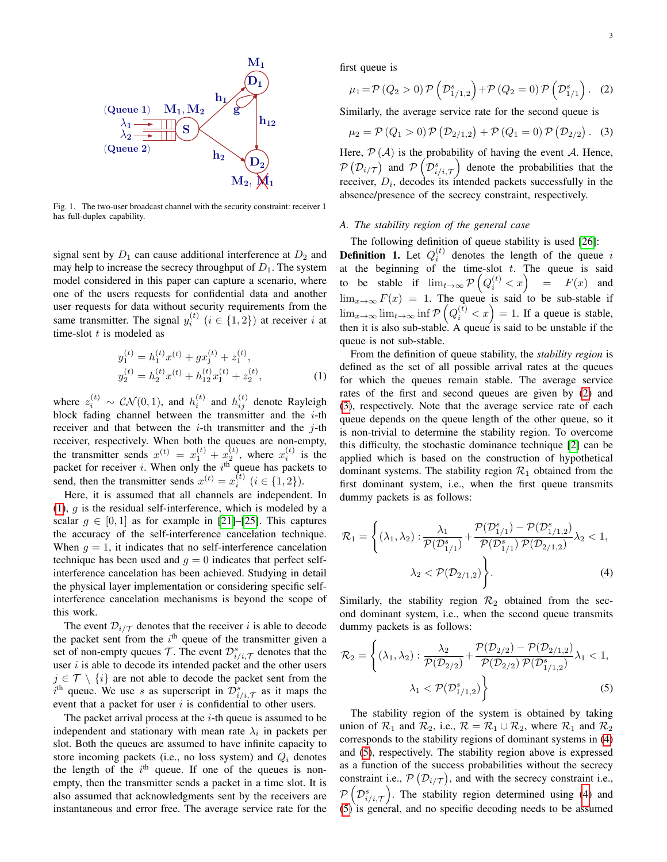

Fig. 1. The two-user broadcast channel with the security constraint: receiver 1 has full-duplex capability.

signal sent by  $D_1$  can cause additional interference at  $D_2$  and may help to increase the secrecy throughput of  $D_1$ . The system model considered in this paper can capture a scenario, where one of the users requests for confidential data and another user requests for data without security requirements from the same transmitter. The signal  $y_i^{(t)}$   $(i \in \{1, 2\})$  at receiver i at time-slot  $t$  is modeled as

$$
y_1^{(t)} = h_1^{(t)} x^{(t)} + g x_J^{(t)} + z_1^{(t)},
$$
  
\n
$$
y_2^{(t)} = h_2^{(t)} x^{(t)} + h_{12}^{(t)} x_J^{(t)} + z_2^{(t)},
$$
\n(1)

where  $z_i^{(t)} \sim \mathcal{CN}(0,1)$ , and  $h_i^{(t)}$  and  $h_{ij}^{(t)}$  denote Rayleigh block fading channel between the transmitter and the  $i$ -th receiver and that between the  $i$ -th transmitter and the  $j$ -th receiver, respectively. When both the queues are non-empty, the transmitter sends  $x^{(t)} = x_1^{(t)} + x_2^{(t)}$ , where  $x_i^{(t)}$  is the packet for receiver  $i$ . When only the  $i<sup>th</sup>$  queue has packets to send, then the transmitter sends  $x^{(t)} = x_i^{(t)}$   $(i \in \{1, 2\})$ .

Here, it is assumed that all channels are independent. In  $(1)$ , g is the residual self-interference, which is modeled by a scalar  $g \in [0, 1]$  as for example in [\[21\]](#page-12-18)–[\[25\]](#page-12-19). This captures the accuracy of the self-interference cancelation technique. When  $q = 1$ , it indicates that no self-interference cancelation technique has been used and  $q = 0$  indicates that perfect selfinterference cancelation has been achieved. Studying in detail the physical layer implementation or considering specific selfinterference cancelation mechanisms is beyond the scope of this work.

The event  $\mathcal{D}_{i/\mathcal{T}}$  denotes that the receiver i is able to decode the packet sent from the  $i<sup>th</sup>$  queue of the transmitter given a set of non-empty queues  $\mathcal{T}$ . The event  $\mathcal{D}_{i/i,\mathcal{T}}^s$  denotes that the user  $i$  is able to decode its intended packet and the other users  $j \in \mathcal{T} \setminus \{i\}$  are not able to decode the packet sent from the  $i<sup>th</sup>$  queue. We use s as superscript in  $\mathcal{D}_{i/i,\mathcal{T}}^s$  as it maps the event that a packet for user  $i$  is confidential to other users.

The packet arrival process at the  $i$ -th queue is assumed to be independent and stationary with mean rate  $\lambda_i$  in packets per slot. Both the queues are assumed to have infinite capacity to store incoming packets (i.e., no loss system) and  $Q_i$  denotes the length of the  $i<sup>th</sup>$  queue. If one of the queues is nonempty, then the transmitter sends a packet in a time slot. It is also assumed that acknowledgments sent by the receivers are instantaneous and error free. The average service rate for the first queue is

<span id="page-2-1"></span>
$$
\mu_1 = \mathcal{P}(Q_2 > 0) \mathcal{P}(\mathcal{D}_{1/1,2}^s) + \mathcal{P}(Q_2 = 0) \mathcal{P}(\mathcal{D}_{1/1}^s).
$$
 (2)

Similarly, the average service rate for the second queue is

<span id="page-2-2"></span>
$$
\mu_2 = \mathcal{P}(Q_1 > 0) \mathcal{P}(D_{2/1,2}) + \mathcal{P}(Q_1 = 0) \mathcal{P}(D_{2/2}).
$$
 (3)

Here,  $\mathcal{P}(\mathcal{A})$  is the probability of having the event A. Hence,  $\mathcal{P}(\mathcal{D}_{i/\mathcal{T}})$  and  $\mathcal{P}(\mathcal{D}_{i/i,\mathcal{T}}^s)$  denote the probabilities that the receiver,  $D_i$ , decodes its intended packets successfully in the absence/presence of the secrecy constraint, respectively.

#### *A. The stability region of the general case*

The following definition of queue stability is used [\[26\]](#page-12-20):

**Definition 1.** Let  $Q_i^{(t)}$  denotes the length of the queue i at the beginning of the time-slot  $t$ . The queue is said to be stable if  $\lim_{t\to\infty} \mathcal{P}\left(Q_i^{(t)} < x\right) = F(x)$  and  $\lim_{x\to\infty} F(x) = 1$ . The queue is said to be sub-stable if  $\lim_{x\to\infty}$   $\lim_{t\to\infty}$  inf  $\mathcal{P}\left(Q_i^{(\bar{t})} < x\right) = 1$ . If a queue is stable, then it is also sub-stable. A queue is said to be unstable if the queue is not sub-stable.

<span id="page-2-0"></span>From the definition of queue stability, the *stability region* is defined as the set of all possible arrival rates at the queues for which the queues remain stable. The average service rates of the first and second queues are given by [\(2\)](#page-2-1) and [\(3\)](#page-2-2), respectively. Note that the average service rate of each queue depends on the queue length of the other queue, so it is non-trivial to determine the stability region. To overcome this difficulty, the stochastic dominance technique [\[2\]](#page-12-0) can be applied which is based on the construction of hypothetical dominant systems. The stability region  $\mathcal{R}_1$  obtained from the first dominant system, i.e., when the first queue transmits dummy packets is as follows:

<span id="page-2-3"></span>
$$
\mathcal{R}_1 = \left\{ (\lambda_1, \lambda_2) : \frac{\lambda_1}{\mathcal{P}(\mathcal{D}_{1/1}^s)} + \frac{\mathcal{P}(\mathcal{D}_{1/1}^s) - \mathcal{P}(\mathcal{D}_{1/1,2}^s)}{\mathcal{P}(\mathcal{D}_{1/1}^s) \mathcal{P}(\mathcal{D}_{2/1,2})} \lambda_2 < 1, \\ \lambda_2 < \mathcal{P}(\mathcal{D}_{2/1,2}) \right\}.
$$
\n(4)

Similarly, the stability region  $\mathcal{R}_2$  obtained from the second dominant system, i.e., when the second queue transmits dummy packets is as follows:

$$
\mathcal{R}_2 = \left\{ (\lambda_1, \lambda_2) : \frac{\lambda_2}{\mathcal{P}(\mathcal{D}_{2/2})} + \frac{\mathcal{P}(\mathcal{D}_{2/2}) - \mathcal{P}(\mathcal{D}_{2/1,2})}{\mathcal{P}(\mathcal{D}_{2/2}) \mathcal{P}(\mathcal{D}_{1/1,2}^s)} \lambda_1 < 1, \lambda_1 < \mathcal{P}(\mathcal{D}_{1/1,2}^s) \right\} \tag{5}
$$

<span id="page-2-4"></span>The stability region of the system is obtained by taking union of  $\mathcal{R}_1$  and  $\mathcal{R}_2$ , i.e.,  $\mathcal{R} = \mathcal{R}_1 \cup \mathcal{R}_2$ , where  $\mathcal{R}_1$  and  $\mathcal{R}_2$ corresponds to the stability regions of dominant systems in [\(4\)](#page-2-3) and [\(5\)](#page-2-4), respectively. The stability region above is expressed as a function of the success probabilities without the secrecy constraint i.e.,  $\mathcal{P}(\mathcal{D}_{i/\mathcal{T}})$ , and with the secrecy constraint i.e.,  $\mathcal{P}\left(\mathcal{D}_{i/i,\mathcal{T}}^{s}\right)$ . The stability region determined using [\(4\)](#page-2-3) and [\(5\)](#page-2-4) is general, and no specific decoding needs to be assumed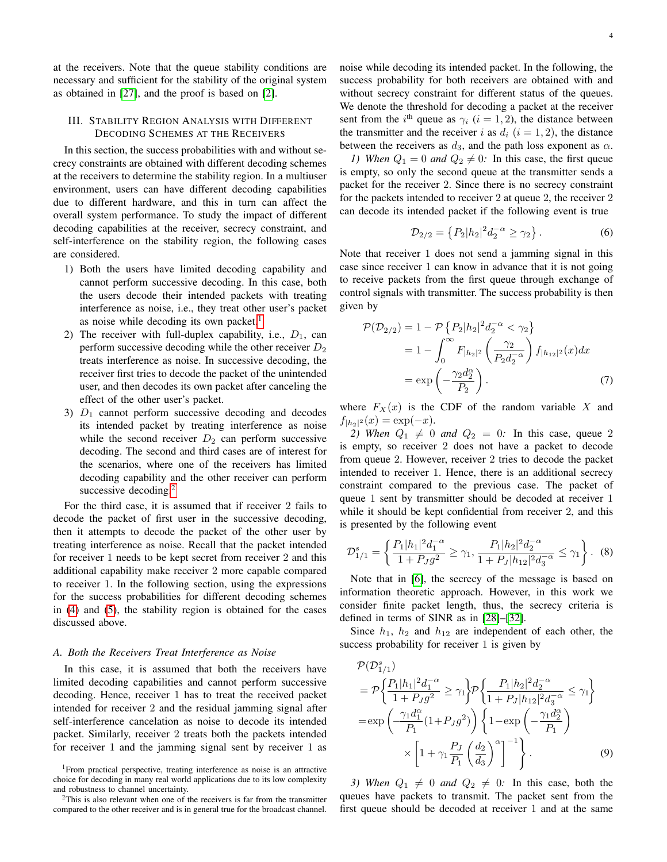at the receivers. Note that the queue stability conditions are necessary and sufficient for the stability of the original system as obtained in [\[27\]](#page-12-21), and the proof is based on [\[2\]](#page-12-0).

## <span id="page-3-5"></span>III. STABILITY REGION ANALYSIS WITH DIFFERENT DECODING SCHEMES AT THE RECEIVERS

In this section, the success probabilities with and without secrecy constraints are obtained with different decoding schemes at the receivers to determine the stability region. In a multiuser environment, users can have different decoding capabilities due to different hardware, and this in turn can affect the overall system performance. To study the impact of different decoding capabilities at the receiver, secrecy constraint, and self-interference on the stability region, the following cases are considered.

- 1) Both the users have limited decoding capability and cannot perform successive decoding. In this case, both the users decode their intended packets with treating interference as noise, i.e., they treat other user's packet as noise while decoding its own packet.<sup>[1](#page-3-0)</sup>
- 2) The receiver with full-duplex capability, i.e.,  $D_1$ , can perform successive decoding while the other receiver  $D_2$ treats interference as noise. In successive decoding, the receiver first tries to decode the packet of the unintended user, and then decodes its own packet after canceling the effect of the other user's packet.
- 3)  $D_1$  cannot perform successive decoding and decodes its intended packet by treating interference as noise while the second receiver  $D_2$  can perform successive decoding. The second and third cases are of interest for the scenarios, where one of the receivers has limited decoding capability and the other receiver can perform successive decoding.<sup>[2](#page-3-1)</sup>

For the third case, it is assumed that if receiver 2 fails to decode the packet of first user in the successive decoding, then it attempts to decode the packet of the other user by treating interference as noise. Recall that the packet intended for receiver 1 needs to be kept secret from receiver 2 and this additional capability make receiver 2 more capable compared to receiver 1. In the following section, using the expressions for the success probabilities for different decoding schemes in [\(4\)](#page-2-3) and [\(5\)](#page-2-4), the stability region is obtained for the cases discussed above.

#### <span id="page-3-4"></span>*A. Both the Receivers Treat Interference as Noise*

In this case, it is assumed that both the receivers have limited decoding capabilities and cannot perform successive decoding. Hence, receiver 1 has to treat the received packet intended for receiver 2 and the residual jamming signal after self-interference cancelation as noise to decode its intended packet. Similarly, receiver 2 treats both the packets intended for receiver 1 and the jamming signal sent by receiver 1 as

<span id="page-3-0"></span><sup>1</sup>From practical perspective, treating interference as noise is an attractive choice for decoding in many real world applications due to its low complexity and robustness to channel uncertainty.

<span id="page-3-1"></span><sup>2</sup>This is also relevant when one of the receivers is far from the transmitter compared to the other receiver and is in general true for the broadcast channel. noise while decoding its intended packet. In the following, the success probability for both receivers are obtained with and without secrecy constraint for different status of the queues. We denote the threshold for decoding a packet at the receiver sent from the  $i^{\text{th}}$  queue as  $\gamma_i$  ( $i = 1, 2$ ), the distance between the transmitter and the receiver i as  $d_i$  ( $i = 1, 2$ ), the distance between the receivers as  $d_3$ , and the path loss exponent as  $\alpha$ .

*1)* When  $Q_1 = 0$  and  $Q_2 \neq 0$ : In this case, the first queue is empty, so only the second queue at the transmitter sends a packet for the receiver 2. Since there is no secrecy constraint for the packets intended to receiver 2 at queue 2, the receiver 2 can decode its intended packet if the following event is true

<span id="page-3-3"></span>
$$
\mathcal{D}_{2/2} = \left\{ P_2 | h_2 |^2 d_2^{-\alpha} \ge \gamma_2 \right\}.
$$
 (6)

Note that receiver 1 does not send a jamming signal in this case since receiver 1 can know in advance that it is not going to receive packets from the first queue through exchange of control signals with transmitter. The success probability is then given by

$$
\mathcal{P}(\mathcal{D}_{2/2}) = 1 - \mathcal{P}\left\{P_2|h_2|^2d_2^{-\alpha} < \gamma_2\right\}
$$
\n
$$
= 1 - \int_0^\infty F_{|h_2|^2} \left(\frac{\gamma_2}{P_2d_2^{-\alpha}}\right) f_{|h_{12}|^2}(x) dx
$$
\n
$$
= \exp\left(-\frac{\gamma_2 d_2^{\alpha}}{P_2}\right). \tag{7}
$$

where  $F_X(x)$  is the CDF of the random variable X and  $f_{|h_2|^2}(x) = \exp(-x).$ 

*2) When*  $Q_1 \neq 0$  *and*  $Q_2 = 0$ *:* In this case, queue 2 is empty, so receiver 2 does not have a packet to decode from queue 2. However, receiver 2 tries to decode the packet intended to receiver 1. Hence, there is an additional secrecy constraint compared to the previous case. The packet of queue 1 sent by transmitter should be decoded at receiver 1 while it should be kept confidential from receiver 2, and this is presented by the following event

$$
\mathcal{D}_{1/1}^s = \left\{ \frac{P_1|h_1|^2 d_1^{-\alpha}}{1 + P_J g^2} \ge \gamma_1, \frac{P_1|h_2|^2 d_2^{-\alpha}}{1 + P_J|h_1|^2 d_3^{-\alpha}} \le \gamma_1 \right\}.
$$
 (8)

Note that in [\[6\]](#page-12-4), the secrecy of the message is based on information theoretic approach. However, in this work we consider finite packet length, thus, the secrecy criteria is defined in terms of SINR as in [\[28\]](#page-12-22)–[\[32\]](#page-12-23).

Since  $h_1$ ,  $h_2$  and  $h_{12}$  are independent of each other, the success probability for receiver 1 is given by

<span id="page-3-2"></span>
$$
\mathcal{P}(\mathcal{D}_{1/1}^{s})
$$
\n
$$
= \mathcal{P}\left\{\frac{P_{1}|h_{1}|^{2}d_{1}^{-\alpha}}{1+P_{J}g^{2}} \geq \gamma_{1}\right\} \mathcal{P}\left\{\frac{P_{1}|h_{2}|^{2}d_{2}^{-\alpha}}{1+P_{J}|h_{12}|^{2}d_{3}^{-\alpha}} \leq \gamma_{1}\right\}
$$
\n
$$
= \exp\left(-\frac{\gamma_{1}d_{1}^{\alpha}}{P_{1}}(1+P_{J}g^{2})\right)\left\{1-\exp\left(-\frac{\gamma_{1}d_{2}^{\alpha}}{P_{1}}\right)\right\}
$$
\n
$$
\times\left[1+\gamma_{1}\frac{P_{J}}{P_{1}}\left(\frac{d_{2}}{d_{3}}\right)^{\alpha}\right]^{-1}\right\}.
$$
\n(9)

*3) When*  $Q_1 \neq 0$  *and*  $Q_2 \neq 0$ *:* In this case, both the queues have packets to transmit. The packet sent from the first queue should be decoded at receiver 1 and at the same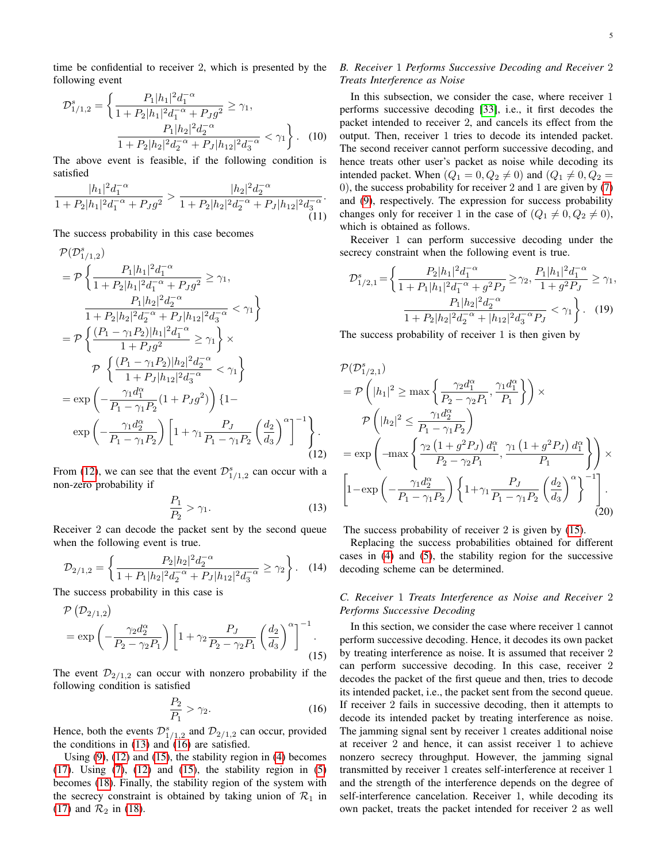time be confidential to receiver 2, which is presented by the following event

$$
\mathcal{D}_{1/1,2}^{s} = \left\{ \frac{P_1|h_1|^2 d_1^{-\alpha}}{1 + P_2|h_1|^2 d_1^{-\alpha} + P_J g^2} \ge \gamma_1, \frac{P_1|h_2|^2 d_2^{-\alpha}}{1 + P_2|h_2|^2 d_2^{-\alpha} + P_J|h_1|^2 d_3^{-\alpha}} < \gamma_1 \right\}. \tag{10}
$$

The above event is feasible, if the following condition is satisfied

$$
\frac{|h_1|^2 d_1^{-\alpha}}{1 + P_2 |h_1|^2 d_1^{-\alpha} + P_J g^2} > \frac{|h_2|^2 d_2^{-\alpha}}{1 + P_2 |h_2|^2 d_2^{-\alpha} + P_J |h_{12}|^2 d_3^{-\alpha}}.
$$
\n(11)

The success probability in this case becomes

$$
\mathcal{P}(\mathcal{D}_{1/1,2}^{s})
$$
\n
$$
= \mathcal{P}\left\{\frac{P_{1}|h_{1}|^{2}d_{1}^{-\alpha}}{1+P_{2}|h_{1}|^{2}d_{1}^{-\alpha}+P_{J}g^{2}} \geq \gamma_{1}, \frac{P_{1}|h_{2}|^{2}d_{2}^{-\alpha}}{1+P_{2}|h_{2}|^{2}d_{2}^{-\alpha}+P_{J}|h_{12}|^{2}d_{3}^{-\alpha}} < \gamma_{1}\right\}
$$
\n
$$
= \mathcal{P}\left\{\frac{(P_{1}-\gamma_{1}P_{2})|h_{1}|^{2}d_{1}^{-\alpha}}{1+P_{J}g^{2}} \geq \gamma_{1}\right\} \times
$$
\n
$$
\mathcal{P}\left\{\frac{(P_{1}-\gamma_{1}P_{2})|h_{2}|^{2}d_{2}^{-\alpha}}{1+P_{J}|h_{12}|^{2}d_{3}^{-\alpha}} < \gamma_{1}\right\}
$$
\n
$$
= \exp\left(-\frac{\gamma_{1}d_{1}^{\alpha}}{P_{1}-\gamma_{1}P_{2}}(1+P_{J}g^{2})\right)\left\{1-\exp\left(-\frac{\gamma_{1}d_{2}^{\alpha}}{P_{1}-\gamma_{1}P_{2}}\right)\left[1+\gamma_{1}\frac{P_{J}}{P_{1}-\gamma_{1}P_{2}}\left(\frac{d_{2}}{d_{3}}\right)^{\alpha}\right]^{-1}\right\}.
$$
\n(12)

From [\(12\)](#page-4-0), we can see that the event  $\mathcal{D}_{1/1,2}^s$  can occur with a non-zero probability if

$$
\frac{P_1}{P_2} > \gamma_1. \tag{13}
$$

Receiver 2 can decode the packet sent by the second queue when the following event is true.

$$
\mathcal{D}_{2/1,2} = \left\{ \frac{P_2 |h_2|^2 d_2^{-\alpha}}{1 + P_1 |h_2|^2 d_2^{-\alpha} + P_J |h_{12}|^2 d_3^{-\alpha}} \ge \gamma_2 \right\}.
$$
 (14)

The success probability in this case is

$$
\mathcal{P}\left(\mathcal{D}_{2/1,2}\right) = \exp\left(-\frac{\gamma_2 d_2^{\alpha}}{P_2 - \gamma_2 P_1}\right) \left[1 + \gamma_2 \frac{P_J}{P_2 - \gamma_2 P_1} \left(\frac{d_2}{d_3}\right)^{\alpha}\right]^{-1}.\tag{15}
$$

The event  $\mathcal{D}_{2/1,2}$  can occur with nonzero probability if the following condition is satisfied

$$
\frac{P_2}{P_1} > \gamma_2. \tag{16}
$$

Hence, both the events  $\mathcal{D}_{1/1,2}^s$  and  $\mathcal{D}_{2/1,2}$  can occur, provided the conditions in  $(13)$  and  $(16)$  are satisfied.

Using  $(9)$ ,  $(12)$  and  $(15)$ , the stability region in  $(4)$  becomes  $(17)$ . Using  $(7)$ ,  $(12)$  and  $(15)$ , the stability region in  $(5)$ becomes [\(18\)](#page-5-1). Finally, the stability region of the system with the secrecy constraint is obtained by taking union of  $\mathcal{R}_1$  in [\(17\)](#page-5-0) and  $\mathcal{R}_2$  in [\(18\)](#page-5-1).

# <span id="page-4-6"></span>*B. Receiver* 1 *Performs Successive Decoding and Receiver* 2 *Treats Interference as Noise*

In this subsection, we consider the case, where receiver 1 performs successive decoding [\[33\]](#page-12-24), i.e., it first decodes the packet intended to receiver 2, and cancels its effect from the output. Then, receiver 1 tries to decode its intended packet. The second receiver cannot perform successive decoding, and hence treats other user's packet as noise while decoding its intended packet. When  $(Q_1 = 0, Q_2 \neq 0)$  and  $(Q_1 \neq 0, Q_2 = 0)$ 0), the success probability for receiver 2 and 1 are given by [\(7\)](#page-3-3) and [\(9\)](#page-3-2), respectively. The expression for success probability changes only for receiver 1 in the case of  $(Q_1 \neq 0, Q_2 \neq 0)$ , which is obtained as follows.

Receiver 1 can perform successive decoding under the secrecy constraint when the following event is true.

$$
\mathcal{D}_{1/2,1}^{s} = \left\{ \frac{P_2|h_1|^2 d_1^{-\alpha}}{1 + P_1|h_1|^2 d_1^{-\alpha} + g^2 P_J} \ge \gamma_2, \frac{P_1|h_1|^2 d_1^{-\alpha}}{1 + g^2 P_J} \ge \gamma_1, \frac{P_1|h_2|^2 d_2^{-\alpha}}{1 + P_2|h_2|^2 d_2^{-\alpha} + |h_1|^2 d_3^{-\alpha} P_J} < \gamma_1 \right\}. \tag{19}
$$

The success probability of receiver 1 is then given by

<span id="page-4-0"></span>
$$
\mathcal{P}(\mathcal{D}_{1/2,1}^{s})
$$
\n
$$
= \mathcal{P}\left(|h_{1}|^{2} \geq \max\left\{\frac{\gamma_{2}d_{1}^{\alpha}}{P_{2} - \gamma_{2}P_{1}}, \frac{\gamma_{1}d_{1}^{\alpha}}{P_{1}}\right\}\right) \times
$$
\n
$$
\mathcal{P}\left(|h_{2}|^{2} \leq \frac{\gamma_{1}d_{2}^{\alpha}}{P_{1} - \gamma_{1}P_{2}}\right)
$$
\n
$$
= \exp\left(-\max\left\{\frac{\gamma_{2}\left(1 + g^{2}P_{J}\right)d_{1}^{\alpha}}{P_{2} - \gamma_{2}P_{1}}, \frac{\gamma_{1}\left(1 + g^{2}P_{J}\right)d_{1}^{\alpha}}{P_{1}}\right\}\right) \times
$$
\n
$$
\left[1 - \exp\left(-\frac{\gamma_{1}d_{2}^{\alpha}}{P_{1} - \gamma_{1}P_{2}}\right)\left\{1 + \gamma_{1}\frac{P_{J}}{P_{1} - \gamma_{1}P_{2}}\left(\frac{d_{2}}{d_{3}}\right)^{\alpha}\right\}^{-1}\right].
$$
\n(20)

<span id="page-4-1"></span>The success probability of receiver 2 is given by [\(15\)](#page-4-3).

<span id="page-4-4"></span>Replacing the success probabilities obtained for different cases in [\(4\)](#page-2-3) and [\(5\)](#page-2-4), the stability region for the successive decoding scheme can be determined.

## <span id="page-4-5"></span>*C. Receiver* 1 *Treats Interference as Noise and Receiver* 2 *Performs Successive Decoding*

<span id="page-4-3"></span><span id="page-4-2"></span>In this section, we consider the case where receiver 1 cannot perform successive decoding. Hence, it decodes its own packet by treating interference as noise. It is assumed that receiver 2 can perform successive decoding. In this case, receiver 2 decodes the packet of the first queue and then, tries to decode its intended packet, i.e., the packet sent from the second queue. If receiver 2 fails in successive decoding, then it attempts to decode its intended packet by treating interference as noise. The jamming signal sent by receiver 1 creates additional noise at receiver 2 and hence, it can assist receiver 1 to achieve nonzero secrecy throughput. However, the jamming signal transmitted by receiver 1 creates self-interference at receiver 1 and the strength of the interference depends on the degree of self-interference cancelation. Receiver 1, while decoding its own packet, treats the packet intended for receiver 2 as well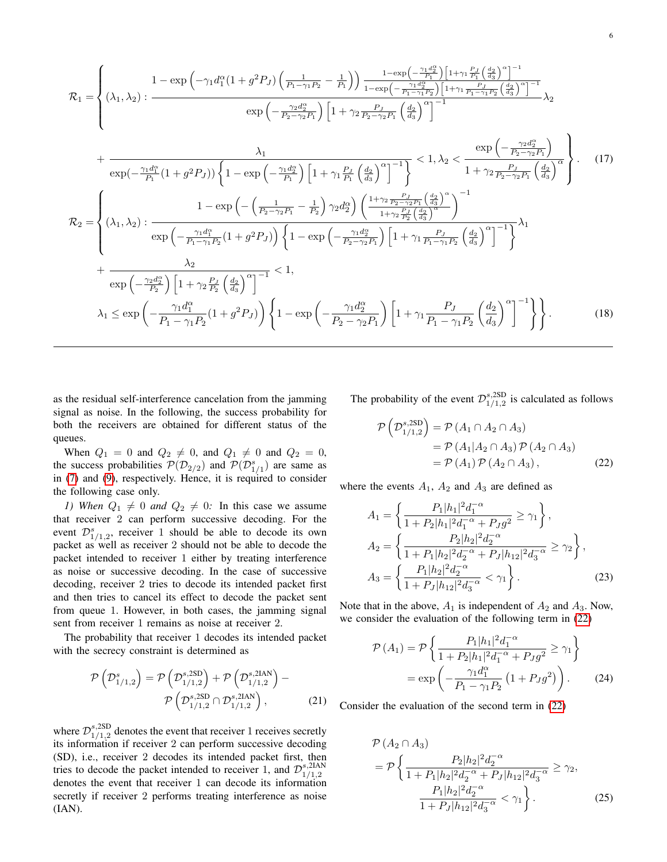$$
\mathcal{R}_{1} = \begin{cases}\n1 - \exp\left(-\gamma_{1}d_{1}^{\alpha}(1+g^{2}P_{J})\left(\frac{1}{P_{1}-\gamma_{1}P_{2}}-\frac{1}{P_{1}}\right)\right)\frac{1-\exp\left(-\frac{\gamma_{1}d_{2}^{\alpha}}{P_{1}}\right)\left[1+\gamma_{1}\frac{P_{J}}{P_{1}}\left(\frac{d_{2}}{q}\right)^{\alpha}\right]^{-1}}{1-\exp\left(-\frac{\gamma_{1}d_{2}^{\alpha}}{P_{1}-\gamma_{1}P_{2}}\right)\left[1+\gamma_{1}\frac{P_{J}}{P_{1}-\gamma_{1}P_{2}}\left(\frac{d_{2}}{q}\right)^{\alpha}\right]^{-1}}\right. \\
\left.\left. + \exp\left(-\frac{\gamma_{2}d_{2}^{\alpha}}{P_{1}}\right)\left[1+\gamma_{2}\frac{P_{J}}{P_{2}-\gamma_{2}P_{1}}\left(\frac{d_{2}}{q}\right)^{\alpha}\right]^{-1}\right.\right. \\
\left. + \exp\left(-\frac{\gamma_{1}d_{1}^{\alpha}}{P_{1}}\left(1+g^{2}P_{J}\right)\right)\left\{1-\exp\left(-\frac{\gamma_{1}d_{2}^{\alpha}}{P_{1}}\right)\left[1+\gamma_{1}\frac{P_{J}}{P_{1}}\left(\frac{d_{2}}{q}\right)^{\alpha}\right]^{-1}\right\}\right.\n\left.\left. + \frac{\exp\left(-\frac{\gamma_{2}d_{2}^{\alpha}}{P_{2}-\gamma_{2}P_{1}}\left(\frac{d_{2}}{q}\right)^{\alpha}\right)}{1+\gamma_{2}\frac{P_{J}}{P_{2}-\gamma_{2}P_{1}}\left(\frac{d_{2}}{q}\right)^{\alpha}}\right\}.\n\left.\left. + \exp\left(-\frac{\gamma_{1}d_{1}^{\alpha}}{P_{1}}\left(1+g^{2}P_{J}\right)\right)\left\{1-\exp\left(-\frac{\gamma_{1}d_{2}^{\alpha}}{P_{1}}\right)\left[1+\gamma_{1}\frac{P_{J}}{P_{2}}\left(\frac{d_{2}}{q}\right)^{\alpha}\right]^{-1}\right\}.\n\right.\n\left.\left. + \exp\left(-\frac{\gamma_{1}d_{1}^{\alpha}}{P_{1}-\gamma_{1}P_{2}}\left(1+g^{2}P_{J}\right)\right)\right\} \
$$

as the residual self-interference cancelation from the jamming signal as noise. In the following, the success probability for both the receivers are obtained for different status of the queues.

When  $Q_1 = 0$  and  $Q_2 \neq 0$ , and  $Q_1 \neq 0$  and  $Q_2 = 0$ , the success probabilities  $P(D_{2/2})$  and  $P(D_{1/1}^s)$  are same as in [\(7\)](#page-3-3) and [\(9\)](#page-3-2), respectively. Hence, it is required to consider the following case only.

*1)* When  $Q_1 \neq 0$  *and*  $Q_2 \neq 0$ *:* In this case we assume that receiver 2 can perform successive decoding. For the event  $\mathcal{D}_{1/1,2}^s$ , receiver 1 should be able to decode its own packet as well as receiver 2 should not be able to decode the packet intended to receiver 1 either by treating interference as noise or successive decoding. In the case of successive decoding, receiver 2 tries to decode its intended packet first and then tries to cancel its effect to decode the packet sent from queue 1. However, in both cases, the jamming signal sent from receiver 1 remains as noise at receiver 2.

The probability that receiver 1 decodes its intended packet with the secrecy constraint is determined as

$$
\mathcal{P}\left(\mathcal{D}_{1/1,2}^{s}\right) = \mathcal{P}\left(\mathcal{D}_{1/1,2}^{s,2SD}\right) + \mathcal{P}\left(\mathcal{D}_{1/1,2}^{s,2IAN}\right) - \n\mathcal{P}\left(\mathcal{D}_{1/1,2}^{s,2SD} \cap \mathcal{D}_{1/1,2}^{s,2IAN}\right),
$$
\n(21)

where  $\mathcal{D}_{1/1,2}^{s,\mathrm{2SD}}$  $_{1/1,2}^{s,25D}$  denotes the event that receiver 1 receives secretly its information if receiver 2 can perform successive decoding (SD), i.e., receiver 2 decodes its intended packet first, then tries to decode the packet intended to receiver 1, and  $\mathcal{D}_{1/1,2}^{s,2IAN}$ 1/1,2 denotes the event that receiver 1 can decode its information secretly if receiver 2 performs treating interference as noise (IAN).

<span id="page-5-0"></span>The probability of the event  $\mathcal{D}_{1/1,2}^{s,\mathrm{2SD}}$  $_{1/1,2}^{s,25D}$  is calculated as follows

<span id="page-5-2"></span><span id="page-5-1"></span>
$$
\mathcal{P}\left(\mathcal{D}_{1/1,2}^{s,\text{2SD}}\right) = \mathcal{P}\left(A_1 \cap A_2 \cap A_3\right)
$$

$$
= \mathcal{P}\left(A_1 | A_2 \cap A_3\right) \mathcal{P}\left(A_2 \cap A_3\right)
$$

$$
= \mathcal{P}\left(A_1\right) \mathcal{P}\left(A_2 \cap A_3\right),\tag{22}
$$

where the events  $A_1$ ,  $A_2$  and  $A_3$  are defined as

$$
A_1 = \left\{ \frac{P_1|h_1|^2 d_1^{-\alpha}}{1 + P_2|h_1|^2 d_1^{-\alpha} + P_J g^2} \ge \gamma_1 \right\},
$$
  
\n
$$
A_2 = \left\{ \frac{P_2|h_2|^2 d_2^{-\alpha}}{1 + P_1|h_2|^2 d_2^{-\alpha} + P_J|h_{12}|^2 d_3^{-\alpha}} \ge \gamma_2 \right\},
$$
  
\n
$$
A_3 = \left\{ \frac{P_1|h_2|^2 d_2^{-\alpha}}{1 + P_J|h_{12}|^2 d_3^{-\alpha}} < \gamma_1 \right\}.
$$
\n(23)

Note that in the above,  $A_1$  is independent of  $A_2$  and  $A_3$ . Now, we consider the evaluation of the following term in [\(22\)](#page-5-2)

<span id="page-5-3"></span>
$$
\mathcal{P}(A_1) = \mathcal{P}\left\{\frac{P_1|h_1|^2d_1^{-\alpha}}{1 + P_2|h_1|^2d_1^{-\alpha} + P_Jg^2} \ge \gamma_1\right\}
$$

$$
= \exp\left(-\frac{\gamma_1d_1^{\alpha}}{P_1 - \gamma_1P_2}\left(1 + P_Jg^2\right)\right). \tag{24}
$$

<span id="page-5-4"></span>Consider the evaluation of the second term in [\(22\)](#page-5-2)

$$
\mathcal{P}(A_2 \cap A_3) = \mathcal{P}\left\{\frac{P_2|h_2|^2d_2^{-\alpha}}{1+P_1|h_2|^2d_2^{-\alpha} + P_J|h_{12}|^2d_3^{-\alpha}} \ge \gamma_2, \frac{P_1|h_2|^2d_2^{-\alpha}}{1+P_J|h_{12}|^2d_3^{-\alpha}} < \gamma_1\right\}.
$$
\n(25)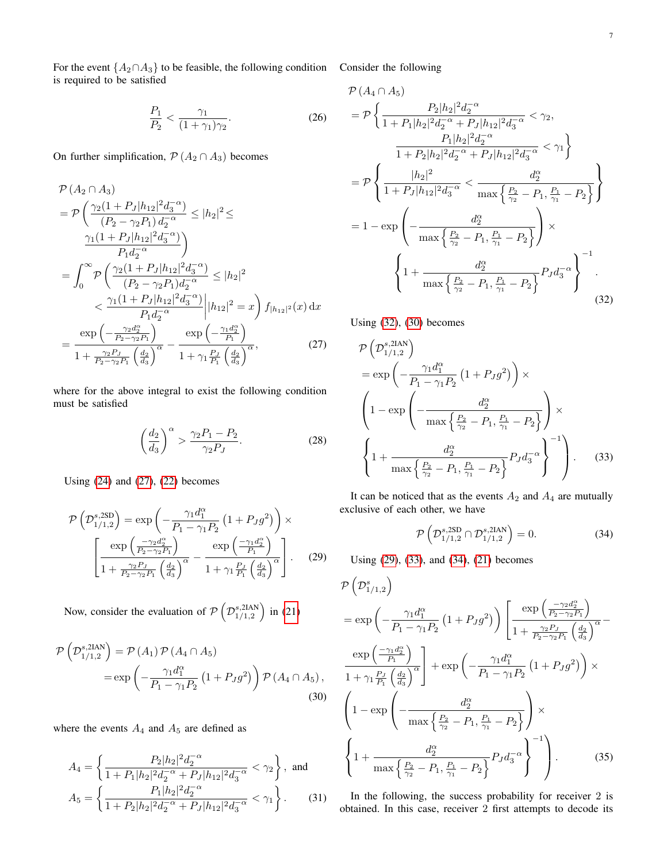For the event  $\{A_2 \cap A_3\}$  to be feasible, the following condition Consider the following is required to be satisfied

$$
\frac{P_1}{P_2} < \frac{\gamma_1}{(1 + \gamma_1)\gamma_2}.\tag{26}
$$

On further simplification,  $P(A_2 \cap A_3)$  becomes

$$
\mathcal{P}(A_2 \cap A_3) \n= \mathcal{P}\left(\frac{\gamma_2(1+P_J|h_{12}|^2d_3^{-\alpha})}{(P_2 - \gamma_2P_1)d_2^{-\alpha}} \le |h_2|^2 \le \frac{\gamma_1(1+P_J|h_{12}|^2d_3^{-\alpha})}{P_1d_2^{-\alpha}}\right) \n= \int_0^\infty \mathcal{P}\left(\frac{\gamma_2(1+P_J|h_{12}|^2d_3^{-\alpha})}{(P_2 - \gamma_2P_1)d_2^{-\alpha}} \le |h_2|^2 \n< \frac{\gamma_1(1+P_J|h_{12}|^2d_3^{-\alpha})}{P_1d_2^{-\alpha}}\Big| |h_{12}|^2 = x\right) f_{|h_{12}|^2}(x) dx \n= \frac{\exp\left(-\frac{\gamma_2d_2^{\alpha}}{P_2 - \gamma_2P_1}\right)}{1+\frac{\gamma_2P_J}{P_2 - \gamma_2P_1}\left(\frac{d_2}{d_3}\right)^{\alpha}} - \frac{\exp\left(-\frac{\gamma_1d_2^{\alpha}}{P_1}\right)}{1+\gamma_1\frac{P_J}{P_1}\left(\frac{d_2}{d_3}\right)^{\alpha}},
$$
\n(27)

where for the above integral to exist the following condition must be satisfied

$$
\left(\frac{d_2}{d_3}\right)^{\alpha} > \frac{\gamma_2 P_1 - P_2}{\gamma_2 P_J}.\tag{28}
$$

Using [\(24\)](#page-5-3) and [\(27\)](#page-6-0), [\(22\)](#page-5-2) becomes

$$
\mathcal{P}\left(\mathcal{D}_{1/1,2}^{s,\text{2SD}}\right) = \exp\left(-\frac{\gamma_1 d_1^{\alpha}}{P_1 - \gamma_1 P_2} \left(1 + P_J g^2\right)\right) \times \left[\frac{\exp\left(-\frac{\gamma_2 d_2^{\alpha}}{P_2 - \gamma_2 P_1}\right)}{1 + \frac{\gamma_2 P_J}{P_2 - \gamma_2 P_1} \left(\frac{d_2}{d_3}\right)^{\alpha}} - \frac{\exp\left(-\frac{\gamma_1 d_2^{\alpha}}{P_1}\right)}{1 + \gamma_1 \frac{P_J}{P_1} \left(\frac{d_2}{d_3}\right)^{\alpha}}\right].
$$
 (29)

Now, consider the evaluation of  $\mathcal{P} \left( \mathcal{D}_{1/1, 2}^{s, 2\text{IAN}} \right)$  $\binom{s,2{\rm IAN}}{1/1,2}$  in [\(21\)](#page-5-4)

$$
\mathcal{P}\left(\mathcal{D}_{1/1,2}^{s,2\text{IAN}}\right) = \mathcal{P}\left(A_{1}\right)\mathcal{P}\left(A_{4}\cap A_{5}\right)
$$
\n
$$
= \exp\left(-\frac{\gamma_{1}d_{1}^{\alpha}}{P_{1}-\gamma_{1}P_{2}}\left(1+P_{J}g^{2}\right)\right)\mathcal{P}\left(A_{4}\cap A_{5}\right),\tag{30}
$$

where the events  $A_4$  and  $A_5$  are defined as

$$
A_4 = \left\{ \frac{P_2 |h_2|^2 d_2^{-\alpha}}{1 + P_1 |h_2|^2 d_2^{-\alpha} + P_J |h_{12}|^2 d_3^{-\alpha}} < \gamma_2 \right\}, \text{ and}
$$

$$
A_5 = \left\{ \frac{P_1 |h_2|^2 d_2^{-\alpha}}{1 + P_2 |h_2|^2 d_2^{-\alpha} + P_J |h_{12}|^2 d_3^{-\alpha}} < \gamma_1 \right\}. \tag{31}
$$

$$
\mathcal{P}(A_4 \cap A_5) \n= \mathcal{P}\left\{\frac{P_2|h_2|^2d_2^{-\alpha}}{1+P_1|h_2|^2d_2^{-\alpha}+P_J|h_{12}|^2d_3^{-\alpha}} < \gamma_2, \frac{P_1|h_2|^2d_2^{-\alpha}}{1+P_2|h_2|^2d_2^{-\alpha}+P_J|h_{12}|^2d_3^{-\alpha}} < \gamma_1\right\} \n= \mathcal{P}\left\{\frac{|h_2|^2}{1+P_J|h_{12}|^2d_3^{-\alpha}} < \frac{d_2^{\alpha}}{\max\left\{\frac{P_2}{\gamma_2}-P_1, \frac{P_1}{\gamma_1}-P_2\right\}}\right\} \n= 1 - \exp\left(-\frac{d_2^{\alpha}}{\max\left\{\frac{P_2}{\gamma_2}-P_1, \frac{P_1}{\gamma_1}-P_2\right\}}\right) \times \n\left\{1 + \frac{d_2^{\alpha}}{\max\left\{\frac{P_2}{\gamma_2}-P_1, \frac{P_1}{\gamma_1}-P_2\right\}}P_Jd_3^{-\alpha}\right\}^{-1}.
$$
\n(32)

<span id="page-6-0"></span>Using [\(32\)](#page-6-1), [\(30\)](#page-6-2) becomes

<span id="page-6-1"></span>
$$
\mathcal{P}\left(\mathcal{D}_{1/1,2}^{s,2\text{IAN}}\right) = \exp\left(-\frac{\gamma_1 d_1^{\alpha}}{P_1 - \gamma_1 P_2} \left(1 + P_J g^2\right)\right) \times \left(1 - \exp\left(-\frac{d_2^{\alpha}}{\max\left\{\frac{P_2}{\gamma_2} - P_1, \frac{P_1}{\gamma_1} - P_2\right\}}\right) \times \left\{1 + \frac{d_2^{\alpha}}{\max\left\{\frac{P_2}{\gamma_2} - P_1, \frac{P_1}{\gamma_1} - P_2\right\}} P_J d_3^{-\alpha}\right\}^{-1}\right). \tag{33}
$$

It can be noticed that as the events  $A_2$  and  $A_4$  are mutually exclusive of each other, we have

<span id="page-6-5"></span><span id="page-6-4"></span>
$$
\mathcal{P}\left(\mathcal{D}_{1/1,2}^{s,\mathrm{2SD}} \cap \mathcal{D}_{1/1,2}^{s,\mathrm{2IAN}}\right) = 0. \tag{34}
$$

<span id="page-6-3"></span>Using [\(29\)](#page-6-3), [\(33\)](#page-6-4), and [\(34\)](#page-6-5), [\(21\)](#page-5-4) becomes

$$
\mathcal{P}\left(\mathcal{D}_{1/1,2}^{s}\right)
$$
\n
$$
= \exp\left(-\frac{\gamma_{1}d_{1}^{\alpha}}{P_{1} - \gamma_{1}P_{2}}\left(1 + P_{J}g^{2}\right)\right)\left[\frac{\exp\left(\frac{-\gamma_{2}d_{2}^{\alpha}}{P_{2} - \gamma_{2}P_{1}}\right)}{1 + \frac{\gamma_{2}P_{J}}{P_{2} - \gamma_{2}P_{1}}\left(\frac{d_{2}}{d_{3}}\right)^{\alpha}} - \frac{\exp\left(\frac{-\gamma_{1}d_{1}^{\alpha}}{P_{1}}\right)}{1 + \gamma_{1}\frac{P_{J}}{P_{1}}\left(\frac{d_{2}}{d_{3}}\right)^{\alpha}}\right] + \exp\left(-\frac{\gamma_{1}d_{1}^{\alpha}}{P_{1} - \gamma_{1}P_{2}}\left(1 + P_{J}g^{2}\right)\right) \times \left(1 - \exp\left(-\frac{d_{2}^{\alpha}}{\max\left\{\frac{P_{2}}{\gamma_{2}} - P_{1}, \frac{P_{1}}{\gamma_{1}} - P_{2}\right\}}\right)\right) \times \left\{1 + \frac{d_{2}^{\alpha}}{\max\left\{\frac{P_{2}}{\gamma_{2}} - P_{1}, \frac{P_{1}}{\gamma_{1}} - P_{2}\right\}} P_{J}d_{3}^{-\alpha}\right\}^{-1}\right). \tag{35}
$$

<span id="page-6-2"></span>In the following, the success probability for receiver 2 is obtained. In this case, receiver 2 first attempts to decode its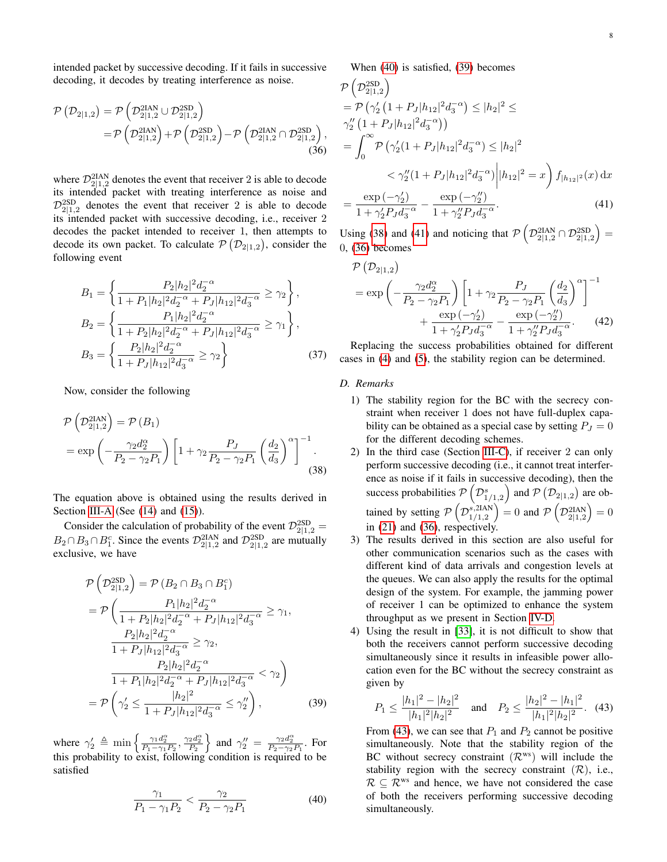intended packet by successive decoding. If it fails in successive decoding, it decodes by treating interference as noise.

$$
\begin{split} \mathcal{P}\left(\mathcal{D}_{2|1,2}\right) &= \mathcal{P}\left(\mathcal{D}_{2|1,2}^{\text{ZIAN}} \cup \mathcal{D}_{2|1,2}^{\text{2SD}}\right) \\ &= \mathcal{P}\left(\mathcal{D}_{2|1,2}^{\text{ZIAN}}\right) + \mathcal{P}\left(\mathcal{D}_{2|1,2}^{\text{2SD}}\right) - \mathcal{P}\left(\mathcal{D}_{2|1,2}^{\text{ZIAN}} \cap \mathcal{D}_{2|1,2}^{\text{2SD}}\right), \end{split} \tag{36}
$$

where  $\mathcal{D}_{2|1,2}^{2\text{IAN}}$  denotes the event that receiver 2 is able to decode its intended packet with treating interference as noise and  $\mathcal{D}_{2|1,2}^{2SD}$  denotes the event that receiver 2 is able to decode its intended packet with successive decoding, i.e., receiver 2 decodes the packet intended to receiver 1, then attempts to decode its own packet. To calculate  $P(D_{2|1,2})$ , consider the following event

$$
B_1 = \left\{ \frac{P_2 |h_2|^2 d_2^{-\alpha}}{1 + P_1 |h_2|^2 d_2^{-\alpha} + P_J |h_{12}|^2 d_3^{-\alpha}} \ge \gamma_2 \right\},
$$
  
\n
$$
B_2 = \left\{ \frac{P_1 |h_2|^2 d_2^{-\alpha}}{1 + P_2 |h_2|^2 d_2^{-\alpha} + P_J |h_{12}|^2 d_3^{-\alpha}} \ge \gamma_1 \right\},
$$
  
\n
$$
B_3 = \left\{ \frac{P_2 |h_2|^2 d_2^{-\alpha}}{1 + P_J |h_{12}|^2 d_3^{-\alpha}} \ge \gamma_2 \right\}
$$
(37)

Now, consider the following

$$
\mathcal{P}\left(\mathcal{D}_{2|1,2}^{2\text{IAN}}\right) = \mathcal{P}\left(B_1\right)
$$
\n
$$
= \exp\left(-\frac{\gamma_2 d_2^{\alpha}}{P_2 - \gamma_2 P_1}\right) \left[1 + \gamma_2 \frac{P_J}{P_2 - \gamma_2 P_1} \left(\frac{d_2}{d_3}\right)^{\alpha}\right]^{-1}.\tag{38}
$$

The equation above is obtained using the results derived in Section [III-A](#page-3-4) (See  $(14)$  and  $(15)$ ).

Consider the calculation of probability of the event  $\mathcal{D}_{2|1,2}^{2SD} =$  $B_2 \cap B_3 \cap B_1^c$ . Since the events  $\mathcal{D}_{2|1,2}^{2IAN}$  and  $\mathcal{D}_{2|1,2}^{2SD}$  are mutually exclusive, we have

$$
\mathcal{P}\left(\mathcal{D}_{2|1,2}^{\text{2SD}}\right) = \mathcal{P}\left(B_2 \cap B_3 \cap B_1^c\right)
$$
\n
$$
= \mathcal{P}\left(\frac{P_1|h_2|^2 d_2^{-\alpha}}{1 + P_2|h_2|^2 d_2^{-\alpha} + P_J|h_{12}|^2 d_3^{-\alpha}} \ge \gamma_1,
$$
\n
$$
\frac{P_2|h_2|^2 d_2^{-\alpha}}{1 + P_J|h_{12}|^2 d_3^{-\alpha}} \ge \gamma_2,
$$
\n
$$
\frac{P_2|h_2|^2 d_2^{-\alpha}}{1 + P_1|h_2|^2 d_2^{-\alpha} + P_J|h_{12}|^2 d_3^{-\alpha}} < \gamma_2\right)
$$
\n
$$
= \mathcal{P}\left(\gamma_2' \le \frac{|h_2|^2}{1 + P_J|h_{12}|^2 d_3^{-\alpha}} \le \gamma_2''\right),\tag{39}
$$

where  $\gamma_2' \triangleq \min\left\{\frac{\gamma_1 d_2^{\alpha}}{P_1 - \gamma_1 P_2}, \frac{\gamma_2 d_2^{\alpha}}{P_2}\right\}$  and  $\gamma_2'' = \frac{\gamma_2 d_2^{\alpha}}{P_2 - \gamma_2 P_1}$ . For this probability to exist, following condition is required to be satisfied

$$
\frac{\gamma_1}{P_1 - \gamma_1 P_2} < \frac{\gamma_2}{P_2 - \gamma_2 P_1} \tag{40}
$$

When [\(40\)](#page-7-0) is satisfied, [\(39\)](#page-7-1) becomes

<span id="page-7-4"></span>
$$
\mathcal{P}\left(\mathcal{D}_{2|1,2}^{\text{2SD}}\right) \n= \mathcal{P}\left(\gamma_2' \left(1 + P_J |h_{12}|^2 d_3^{-\alpha}\right) \le |h_2|^2 \le \gamma_2'' \left(1 + P_J |h_{12}|^2 d_3^{-\alpha}\right)\right) \n= \int_0^\infty \mathcal{P}\left(\gamma_2' \left(1 + P_J |h_{12}|^2 d_3^{-\alpha}\right) \le |h_2|^2 \n< \gamma_2'' \left(1 + P_J |h_{12}|^2 d_3^{-\alpha}\right) \left||h_{12}|^2 = x\right) f_{|h_{12}|^2}(x) dx \n= \frac{\exp\left(-\gamma_2'\right)}{1 + \gamma_2' P_J d_3^{-\alpha}} - \frac{\exp\left(-\gamma_2''\right)}{1 + \gamma_2'' P_J d_3^{-\alpha}}.
$$
\n(41)

Using [\(38\)](#page-7-2) and [\(41\)](#page-7-3) and noticing that  $\mathcal{P}\left(\mathcal{D}_{2|1,2}^{2IAN} \cap \mathcal{D}_{2|1,2}^{2SD}\right)$  = 0, [\(36\)](#page-7-4) becomes

<span id="page-7-3"></span>
$$
\mathcal{P}\left(D_{2|1,2}\right) = \exp\left(-\frac{\gamma_2 d_2^{\alpha}}{P_2 - \gamma_2 P_1}\right) \left[1 + \gamma_2 \frac{P_J}{P_2 - \gamma_2 P_1} \left(\frac{d_2}{d_3}\right)^{\alpha}\right]^{-1} + \frac{\exp\left(-\gamma_2'\right)}{1 + \gamma_2' P_J d_3^{-\alpha}} - \frac{\exp\left(-\gamma_2''\right)}{1 + \gamma_2'' P_J d_3^{-\alpha}}.
$$
\n(42)

Replacing the success probabilities obtained for different cases in [\(4\)](#page-2-3) and [\(5\)](#page-2-4), the stability region can be determined.

## *D. Remarks*

- 1) The stability region for the BC with the secrecy constraint when receiver 1 does not have full-duplex capability can be obtained as a special case by setting  $P<sub>I</sub> = 0$ for the different decoding schemes.
- <span id="page-7-2"></span>2) In the third case (Section [III-C\)](#page-4-5), if receiver 2 can only perform successive decoding (i.e., it cannot treat interference as noise if it fails in successive decoding), then the success probabilities  $\mathcal{P}\left(\mathcal{D}_{1/1,2}^{s}\right)$  and  $\mathcal{P}\left(\mathcal{D}_{2|1,2}\right)$  are obtained by setting  $\mathcal{P} \left( \mathcal{D}_{1/1,2}^{s,2\text{IAN}} \right)$  $\binom{s,2\text{IAN}}{1/1,2} = 0$  and  $\mathcal{P}\left(\mathcal{D}_{2|1,2}^{\text{2IAN}}\right) = 0$ in [\(21\)](#page-5-4) and [\(36\)](#page-7-4), respectively.
- 3) The results derived in this section are also useful for other communication scenarios such as the cases with different kind of data arrivals and congestion levels at the queues. We can also apply the results for the optimal design of the system. For example, the jamming power of receiver 1 can be optimized to enhance the system throughput as we present in Section [IV-D.](#page-10-0)
- 4) Using the result in [\[33\]](#page-12-24), it is not difficult to show that both the receivers cannot perform successive decoding simultaneously since it results in infeasible power allocation even for the BC without the secrecy constraint as given by

<span id="page-7-5"></span><span id="page-7-1"></span>
$$
P_1 \le \frac{|h_1|^2 - |h_2|^2}{|h_1|^2 |h_2|^2} \quad \text{and} \quad P_2 \le \frac{|h_2|^2 - |h_1|^2}{|h_1|^2 |h_2|^2}. \tag{43}
$$

<span id="page-7-0"></span>From [\(43\)](#page-7-5), we can see that  $P_1$  and  $P_2$  cannot be positive simultaneously. Note that the stability region of the BC without secrecy constraint  $(\mathcal{R}^{ws})$  will include the stability region with the secrecy constraint  $(\mathcal{R})$ , i.e.,  $\mathcal{R} \subseteq \mathcal{R}^{ws}$  and hence, we have not considered the case of both the receivers performing successive decoding simultaneously.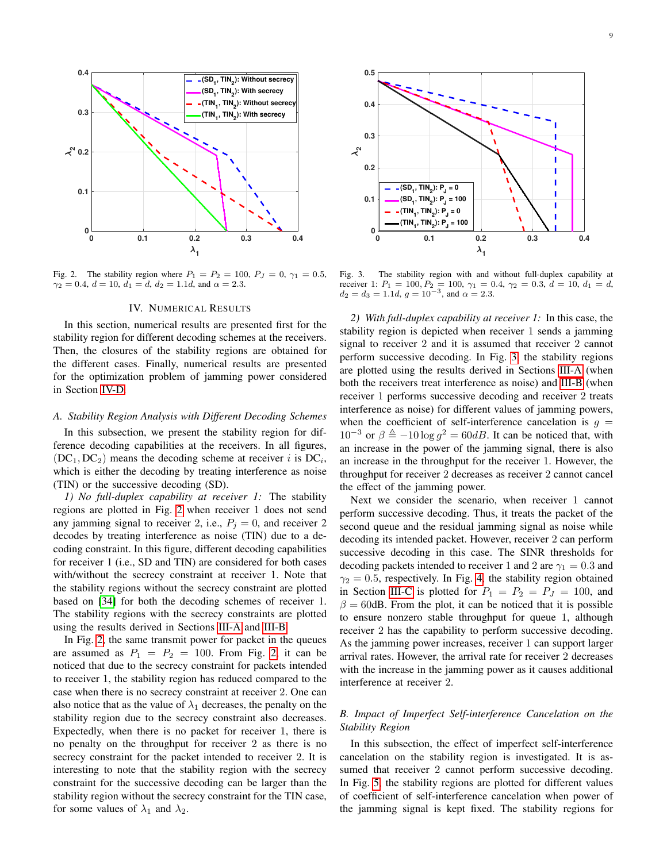

<span id="page-8-0"></span>Fig. 2. The stability region where  $P_1 = P_2 = 100$ ,  $P_J = 0$ ,  $\gamma_1 = 0.5$ ,  $\gamma_2 = 0.4, d = 10, d_1 = d, d_2 = 1.1d,$  and  $\alpha = 2.3$ .

#### IV. NUMERICAL RESULTS

In this section, numerical results are presented first for the stability region for different decoding schemes at the receivers. Then, the closures of the stability regions are obtained for the different cases. Finally, numerical results are presented for the optimization problem of jamming power considered in Section [IV-D.](#page-10-0)

#### *A. Stability Region Analysis with Different Decoding Schemes*

In this subsection, we present the stability region for difference decoding capabilities at the receivers. In all figures,  $(DC_1, DC_2)$  means the decoding scheme at receiver i is  $DC_i$ , which is either the decoding by treating interference as noise (TIN) or the successive decoding (SD).

*1) No full-duplex capability at receiver 1:* The stability regions are plotted in Fig. [2](#page-8-0) when receiver 1 does not send any jamming signal to receiver 2, i.e.,  $P_j = 0$ , and receiver 2 decodes by treating interference as noise (TIN) due to a decoding constraint. In this figure, different decoding capabilities for receiver 1 (i.e., SD and TIN) are considered for both cases with/without the secrecy constraint at receiver 1. Note that the stability regions without the secrecy constraint are plotted based on [\[34\]](#page-12-25) for both the decoding schemes of receiver 1. The stability regions with the secrecy constraints are plotted using the results derived in Sections [III-A](#page-3-4) and [III-B.](#page-4-6)

In Fig. [2,](#page-8-0) the same transmit power for packet in the queues are assumed as  $P_1 = P_2 = 100$ . From Fig. [2,](#page-8-0) it can be noticed that due to the secrecy constraint for packets intended to receiver 1, the stability region has reduced compared to the case when there is no secrecy constraint at receiver 2. One can also notice that as the value of  $\lambda_1$  decreases, the penalty on the stability region due to the secrecy constraint also decreases. Expectedly, when there is no packet for receiver 1, there is no penalty on the throughput for receiver 2 as there is no secrecy constraint for the packet intended to receiver 2. It is interesting to note that the stability region with the secrecy constraint for the successive decoding can be larger than the stability region without the secrecy constraint for the TIN case, for some values of  $\lambda_1$  and  $\lambda_2$ .



<span id="page-8-1"></span>Fig. 3. The stability region with and without full-duplex capability at receiver 1:  $P_1 = 100, P_2 = 100, \gamma_1 = 0.4, \gamma_2 = 0.3, d = 10, d_1 = d$ ,  $d_2 = d_3 = 1.1d, g = 10^{-3}, \text{ and } \alpha = 2.3.$ 

*2) With full-duplex capability at receiver 1:* In this case, the stability region is depicted when receiver 1 sends a jamming signal to receiver 2 and it is assumed that receiver 2 cannot perform successive decoding. In Fig. [3,](#page-8-1) the stability regions are plotted using the results derived in Sections [III-A](#page-3-4) (when both the receivers treat interference as noise) and [III-B](#page-4-6) (when receiver 1 performs successive decoding and receiver 2 treats interference as noise) for different values of jamming powers, when the coefficient of self-interference cancelation is  $q =$  $10^{-3}$  or  $\beta \triangleq -10 \log g^2 = 60$ dB. It can be noticed that, with an increase in the power of the jamming signal, there is also an increase in the throughput for the receiver 1. However, the throughput for receiver 2 decreases as receiver 2 cannot cancel the effect of the jamming power.

Next we consider the scenario, when receiver 1 cannot perform successive decoding. Thus, it treats the packet of the second queue and the residual jamming signal as noise while decoding its intended packet. However, receiver 2 can perform successive decoding in this case. The SINR thresholds for decoding packets intended to receiver 1 and 2 are  $\gamma_1 = 0.3$  and  $\gamma_2 = 0.5$ , respectively. In Fig. [4,](#page-9-0) the stability region obtained in Section [III-C](#page-4-5) is plotted for  $P_1 = P_2 = P_J = 100$ , and  $\beta = 60$ dB. From the plot, it can be noticed that it is possible to ensure nonzero stable throughput for queue 1, although receiver 2 has the capability to perform successive decoding. As the jamming power increases, receiver 1 can support larger arrival rates. However, the arrival rate for receiver 2 decreases with the increase in the jamming power as it causes additional interference at receiver 2.

## *B. Impact of Imperfect Self-interference Cancelation on the Stability Region*

In this subsection, the effect of imperfect self-interference cancelation on the stability region is investigated. It is assumed that receiver 2 cannot perform successive decoding. In Fig. [5,](#page-9-1) the stability regions are plotted for different values of coefficient of self-interference cancelation when power of the jamming signal is kept fixed. The stability regions for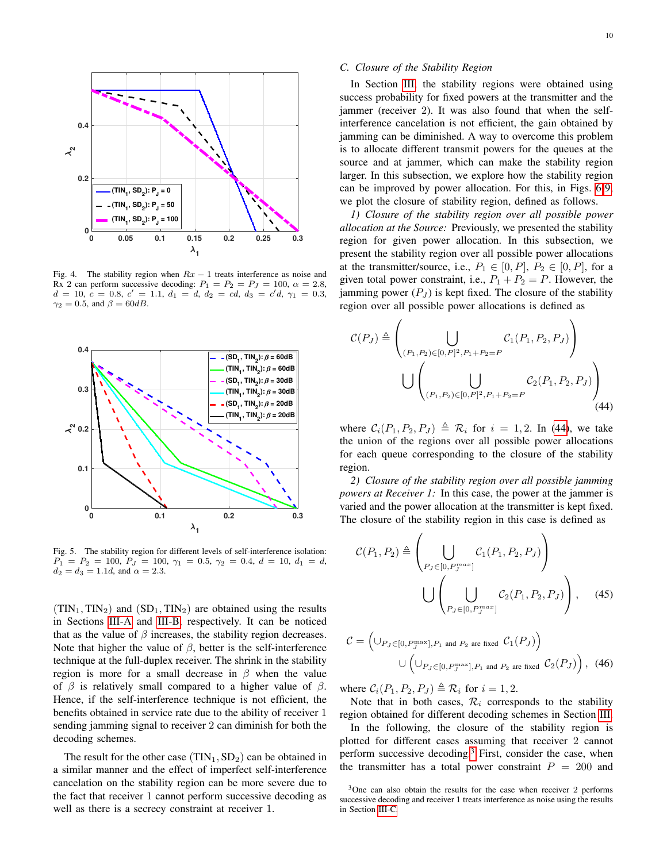

<span id="page-9-0"></span>Fig. 4. The stability region when  $Rx - 1$  treats interference as noise and Rx 2 can perform successive decoding:  $P_1 = P_2 = P_J = 100$ ,  $\alpha = 2.8$ ,  $d = 10, c = 0.8, c' = 1.1, d_1 = d, d_2 = cd, d_3 = c'd, \gamma_1 = 0.3,$  $\gamma_2 = 0.5$ , and  $\beta = 60$ dB.



<span id="page-9-1"></span>Fig. 5. The stability region for different levels of self-interference isolation:  $P_1 = P_2 = 100, P_J = 100, \gamma_1 = 0.5, \gamma_2 = 0.4, d = 10, d_1 = d,$  $d_2 = d_3 = 1.1d$ , and  $\alpha = 2.3$ .

 $(TIN<sub>1</sub>, TIN<sub>2</sub>)$  and  $(SD<sub>1</sub>, TIN<sub>2</sub>)$  are obtained using the results in Sections [III-A](#page-3-4) and [III-B,](#page-4-6) respectively. It can be noticed that as the value of  $\beta$  increases, the stability region decreases. Note that higher the value of  $\beta$ , better is the self-interference technique at the full-duplex receiver. The shrink in the stability region is more for a small decrease in  $\beta$  when the value of  $\beta$  is relatively small compared to a higher value of  $\beta$ . Hence, if the self-interference technique is not efficient, the benefits obtained in service rate due to the ability of receiver 1 sending jamming signal to receiver 2 can diminish for both the decoding schemes.

The result for the other case  $(TIN_1, SD_2)$  can be obtained in a similar manner and the effect of imperfect self-interference cancelation on the stability region can be more severe due to the fact that receiver 1 cannot perform successive decoding as well as there is a secrecy constraint at receiver 1.

#### *C. Closure of the Stability Region*

In Section [III,](#page-3-5) the stability regions were obtained using success probability for fixed powers at the transmitter and the jammer (receiver 2). It was also found that when the selfinterference cancelation is not efficient, the gain obtained by jamming can be diminished. A way to overcome this problem is to allocate different transmit powers for the queues at the source and at jammer, which can make the stability region larger. In this subsection, we explore how the stability region can be improved by power allocation. For this, in Figs. [6-](#page-10-1)[9,](#page-10-2) we plot the closure of stability region, defined as follows.

*1) Closure of the stability region over all possible power allocation at the Source:* Previously, we presented the stability region for given power allocation. In this subsection, we present the stability region over all possible power allocations at the transmitter/source, i.e.,  $P_1 \in [0, P]$ ,  $P_2 \in [0, P]$ , for a given total power constraint, i.e.,  $P_1 + P_2 = P$ . However, the jamming power  $(P_J)$  is kept fixed. The closure of the stability region over all possible power allocations is defined as

<span id="page-9-2"></span>
$$
C(P_J) \triangleq \left( \bigcup_{(P_1, P_2) \in [0, P]^2, P_1 + P_2 = P} C_1(P_1, P_2, P_J) \right)
$$
  

$$
\bigcup \left( \bigcup_{(P_1, P_2) \in [0, P]^2, P_1 + P_2 = P} C_2(P_1, P_2, P_J) \right)
$$
(44)

where  $C_i(P_1, P_2, P_J) \triangleq \mathcal{R}_i$  for  $i = 1, 2$ . In [\(44\)](#page-9-2), we take the union of the regions over all possible power allocations for each queue corresponding to the closure of the stability region.

*2) Closure of the stability region over all possible jamming powers at Receiver 1:* In this case, the power at the jammer is varied and the power allocation at the transmitter is kept fixed. The closure of the stability region in this case is defined as

$$
\mathcal{C}(P_1, P_2) \triangleq \left(\bigcup_{P_J \in [0, P_J^{max}]} \mathcal{C}_1(P_1, P_2, P_J)\right)
$$

$$
\bigcup \left(\bigcup_{P_J \in [0, P_J^{max}]} \mathcal{C}_2(P_1, P_2, P_J)\right), \quad (45)
$$

$$
C = \left( \bigcup_{P_J \in [0, P_J^{\text{max}}], P_1 \text{ and } P_2 \text{ are fixed}} C_1(P_J) \right)
$$
  

$$
\bigcup \left( \bigcup_{P_J \in [0, P_J^{\text{max}}], P_1 \text{ and } P_2 \text{ are fixed}} C_2(P_J) \right), (46)
$$

where  $C_i(P_1, P_2, P_J) \triangleq \mathcal{R}_i$  for  $i = 1, 2$ .

Note that in both cases,  $\mathcal{R}_i$  corresponds to the stability region obtained for different decoding schemes in Section [III.](#page-3-5)

In the following, the closure of the stability region is plotted for different cases assuming that receiver 2 cannot perform successive decoding.[3](#page-9-3) First, consider the case, when the transmitter has a total power constraint  $P = 200$  and

<span id="page-9-3"></span><sup>3</sup>One can also obtain the results for the case when receiver 2 performs successive decoding and receiver 1 treats interference as noise using the results in Section [III-C.](#page-4-5)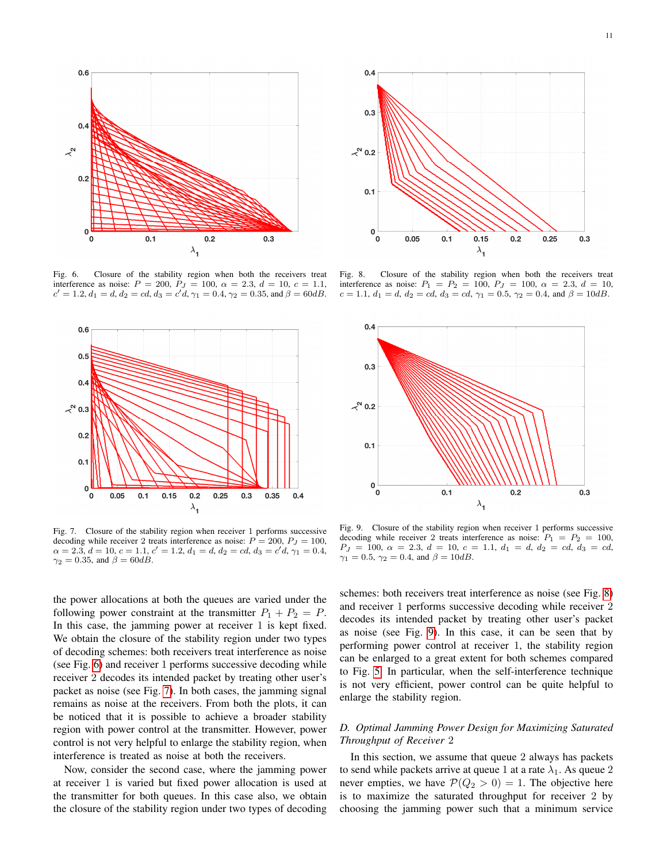

<span id="page-10-1"></span>Fig. 6. Closure of the stability region when both the receivers treat interference as noise:  $P = 200$ ,  $P<sub>J</sub> = 100$ ,  $\alpha = 2.3$ ,  $d = 10$ ,  $c = 1.1$ ,  $c' = 1.2, d_1 = d, d_2 = cd, d_3 = c'd, \gamma_1 = 0.4, \gamma_2 = 0.35, \text{and } \beta = 60dB.$ 



<span id="page-10-3"></span>Fig. 7. Closure of the stability region when receiver 1 performs successive decoding while receiver 2 treats interference as noise:  $P = 200$ ,  $P<sub>I</sub> = 100$ ,  $\alpha = 2.3, d = 10, c = 1.1, c' = 1.2, d_1 = d, d_2 = cd, d_3 = c'd, \gamma_1 = 0.4,$  $\gamma_2 = 0.35$ , and  $\beta = 60$ dB.

the power allocations at both the queues are varied under the following power constraint at the transmitter  $P_1 + P_2 = P$ . In this case, the jamming power at receiver 1 is kept fixed. We obtain the closure of the stability region under two types of decoding schemes: both receivers treat interference as noise (see Fig. [6\)](#page-10-1) and receiver 1 performs successive decoding while receiver 2 decodes its intended packet by treating other user's packet as noise (see Fig. [7\)](#page-10-3). In both cases, the jamming signal remains as noise at the receivers. From both the plots, it can be noticed that it is possible to achieve a broader stability region with power control at the transmitter. However, power control is not very helpful to enlarge the stability region, when interference is treated as noise at both the receivers.

Now, consider the second case, where the jamming power at receiver 1 is varied but fixed power allocation is used at the transmitter for both queues. In this case also, we obtain the closure of the stability region under two types of decoding



<span id="page-10-4"></span>Fig. 8. Closure of the stability region when both the receivers treat interference as noise:  $P_1 = P_2 = 100$ ,  $P_J = 100$ ,  $\alpha = 2.3$ ,  $d = 10$ ,  $c = 1.1, d_1 = d, d_2 = cd, d_3 = cd, \gamma_1 = 0.5, \gamma_2 = 0.4, \text{ and } \beta = 10dB.$ 



<span id="page-10-2"></span>Fig. 9. Closure of the stability region when receiver 1 performs successive decoding while receiver 2 treats interference as noise:  $P_1 = P_2 = 100$ ,  $P_J = 100, \ \alpha = 2.3, \ d = 10, \ c = 1.1, \ d_1 = d, \ d_2 = cd, \ d_3 = cd,$  $\gamma_1 = 0.5, \, \gamma_2 = 0.4, \, \text{and } \beta = 10dB.$ 

schemes: both receivers treat interference as noise (see Fig. [8\)](#page-10-4) and receiver 1 performs successive decoding while receiver 2 decodes its intended packet by treating other user's packet as noise (see Fig. [9\)](#page-10-2). In this case, it can be seen that by performing power control at receiver 1, the stability region can be enlarged to a great extent for both schemes compared to Fig. [5.](#page-9-1) In particular, when the self-interference technique is not very efficient, power control can be quite helpful to enlarge the stability region.

## <span id="page-10-0"></span>*D. Optimal Jamming Power Design for Maximizing Saturated Throughput of Receiver* 2

In this section, we assume that queue 2 always has packets to send while packets arrive at queue 1 at a rate  $\lambda_1$ . As queue 2 never empties, we have  $\mathcal{P}(Q_2 > 0) = 1$ . The objective here is to maximize the saturated throughput for receiver 2 by choosing the jamming power such that a minimum service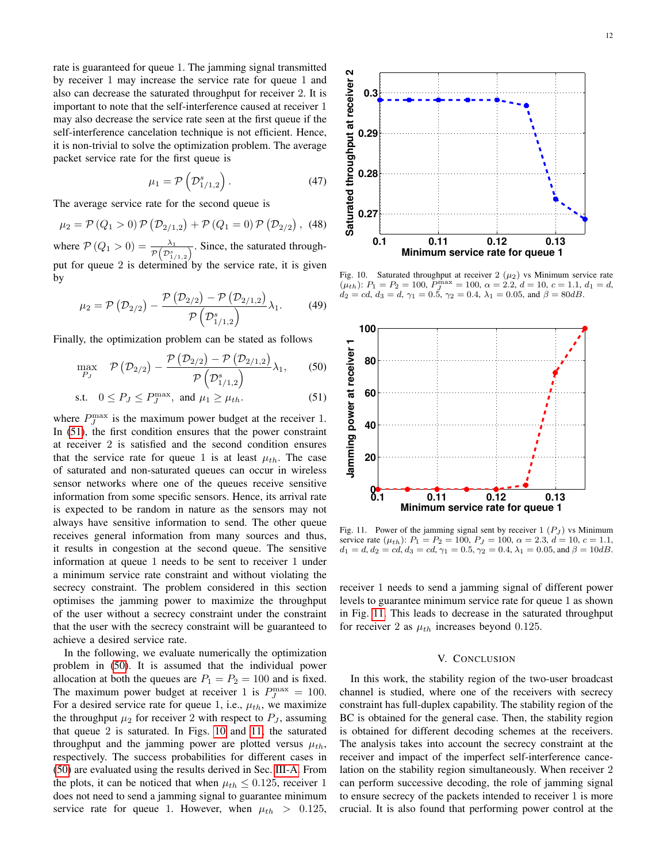rate is guaranteed for queue 1. The jamming signal transmitted by receiver 1 may increase the service rate for queue 1 and also can decrease the saturated throughput for receiver 2. It is important to note that the self-interference caused at receiver 1 may also decrease the service rate seen at the first queue if the self-interference cancelation technique is not efficient. Hence, it is non-trivial to solve the optimization problem. The average packet service rate for the first queue is

$$
\mu_1 = \mathcal{P}\left(\mathcal{D}_{1/1,2}^s\right). \tag{47}
$$

The average service rate for the second queue is

$$
\mu_2 = \mathcal{P}(Q_1 > 0) \mathcal{P}(D_{2/1,2}) + \mathcal{P}(Q_1 = 0) \mathcal{P}(D_{2/2}), (48)
$$

where  $\mathcal{P}(Q_1 > 0) = \frac{\lambda_1}{\mathcal{P}(D_{1/1,2}^s)}$ . Since, the saturated throughput for queue 2 is determined by the service rate, it is given by

$$
\mu_2 = \mathcal{P}(\mathcal{D}_{2/2}) - \frac{\mathcal{P}(\mathcal{D}_{2/2}) - \mathcal{P}(\mathcal{D}_{2/1,2})}{\mathcal{P}(\mathcal{D}_{1/1,2}^s)} \lambda_1.
$$
 (49)

Finally, the optimization problem can be stated as follows

$$
\max_{P_J} \quad \mathcal{P}\left(\mathcal{D}_{2/2}\right) - \frac{\mathcal{P}\left(\mathcal{D}_{2/2}\right) - \mathcal{P}\left(\mathcal{D}_{2/1,2}\right)}{\mathcal{P}\left(\mathcal{D}_{1/1,2}^s\right)} \lambda_1,\qquad(50)
$$

$$
\text{s.t.} \quad 0 \le P_J \le P_J^{\max}, \text{ and } \mu_1 \ge \mu_{th}. \tag{51}
$$

where  $P_J^{\text{max}}$  is the maximum power budget at the receiver 1. In [\(51\)](#page-11-0), the first condition ensures that the power constraint at receiver 2 is satisfied and the second condition ensures that the service rate for queue 1 is at least  $\mu_{th}$ . The case of saturated and non-saturated queues can occur in wireless sensor networks where one of the queues receive sensitive information from some specific sensors. Hence, its arrival rate is expected to be random in nature as the sensors may not always have sensitive information to send. The other queue receives general information from many sources and thus, it results in congestion at the second queue. The sensitive information at queue 1 needs to be sent to receiver 1 under a minimum service rate constraint and without violating the secrecy constraint. The problem considered in this section optimises the jamming power to maximize the throughput of the user without a secrecy constraint under the constraint that the user with the secrecy constraint will be guaranteed to achieve a desired service rate.

In the following, we evaluate numerically the optimization problem in [\(50\)](#page-11-1). It is assumed that the individual power allocation at both the queues are  $P_1 = P_2 = 100$  and is fixed. The maximum power budget at receiver 1 is  $P_J^{\text{max}} = 100$ . For a desired service rate for queue 1, i.e.,  $\mu_{th}$ , we maximize the throughput  $\mu_2$  for receiver 2 with respect to  $P_J$ , assuming that queue 2 is saturated. In Figs. [10](#page-11-2) and [11,](#page-11-3) the saturated throughput and the jamming power are plotted versus  $\mu_{th}$ , respectively. The success probabilities for different cases in [\(50\)](#page-11-1) are evaluated using the results derived in Sec. [III-A.](#page-3-4) From the plots, it can be noticed that when  $\mu_{th} \leq 0.125$ , receiver 1 does not need to send a jamming signal to guarantee minimum service rate for queue 1. However, when  $\mu_{th} > 0.125$ ,



<span id="page-11-2"></span>Fig. 10. Saturated throughput at receiver 2  $(\mu_2)$  vs Minimum service rate  $(\mu_{th})$ :  $P_1 = P_2 = 100$ ,  $P_J^{\max} = 100$ ,  $\alpha = 2.2$ ,  $d = 10$ ,  $c = 1.1$ ,  $d_1 = d$ ,  $d_2 = cd, d_3 = d, \gamma_1 = 0.5, \gamma_2 = 0.4, \lambda_1 = 0.05, \text{ and } \beta = 80dB.$ 

<span id="page-11-1"></span><span id="page-11-0"></span>

<span id="page-11-3"></span>Fig. 11. Power of the jamming signal sent by receiver  $1 (P_J)$  vs Minimum service rate  $(\mu_{th})$ :  $P_1 = P_2 = 100$ ,  $P_J = 100$ ,  $\alpha = 2.3$ ,  $d = 10$ ,  $c = 1.1$ ,  $d_1 = d, d_2 = cd, d_3 = cd, \gamma_1 = 0.5, \gamma_2 = 0.4, \lambda_1 = 0.05, \text{ and } \beta = 10dB.$ 

receiver 1 needs to send a jamming signal of different power levels to guarantee minimum service rate for queue 1 as shown in Fig. [11.](#page-11-3) This leads to decrease in the saturated throughput for receiver 2 as  $\mu_{th}$  increases beyond 0.125.

## V. CONCLUSION

In this work, the stability region of the two-user broadcast channel is studied, where one of the receivers with secrecy constraint has full-duplex capability. The stability region of the BC is obtained for the general case. Then, the stability region is obtained for different decoding schemes at the receivers. The analysis takes into account the secrecy constraint at the receiver and impact of the imperfect self-interference cancelation on the stability region simultaneously. When receiver 2 can perform successive decoding, the role of jamming signal to ensure secrecy of the packets intended to receiver 1 is more crucial. It is also found that performing power control at the